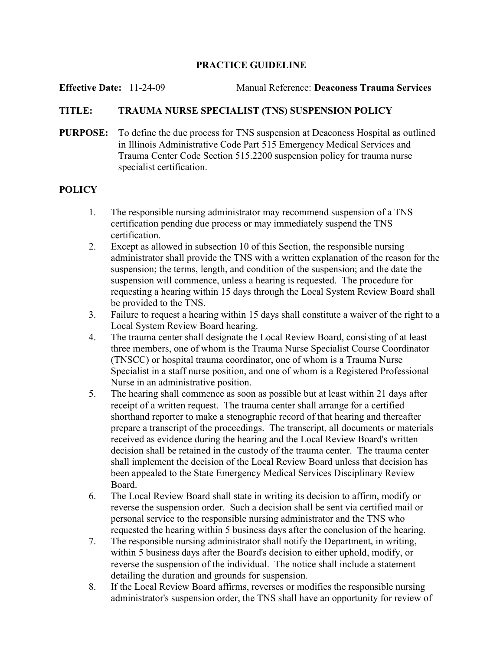## PRACTICE GUIDELINE

Effective Date: 11-24-09 Manual Reference: Deaconess Trauma Services

## TITLE: TRAUMA NURSE SPECIALIST (TNS) SUSPENSION POLICY

PURPOSE: To define the due process for TNS suspension at Deaconess Hospital as outlined in Illinois Administrative Code Part 515 Emergency Medical Services and Trauma Center Code Section 515.2200 suspension policy for trauma nurse specialist certification.

## **POLICY**

- 1. The responsible nursing administrator may recommend suspension of a TNS certification pending due process or may immediately suspend the TNS certification.
- 2. Except as allowed in subsection 10 of this Section, the responsible nursing administrator shall provide the TNS with a written explanation of the reason for the suspension; the terms, length, and condition of the suspension; and the date the suspension will commence, unless a hearing is requested. The procedure for requesting a hearing within 15 days through the Local System Review Board shall be provided to the TNS.
- 3. Failure to request a hearing within 15 days shall constitute a waiver of the right to a Local System Review Board hearing.
- 4. The trauma center shall designate the Local Review Board, consisting of at least three members, one of whom is the Trauma Nurse Specialist Course Coordinator (TNSCC) or hospital trauma coordinator, one of whom is a Trauma Nurse Specialist in a staff nurse position, and one of whom is a Registered Professional Nurse in an administrative position.
- 5. The hearing shall commence as soon as possible but at least within 21 days after receipt of a written request. The trauma center shall arrange for a certified shorthand reporter to make a stenographic record of that hearing and thereafter prepare a transcript of the proceedings. The transcript, all documents or materials received as evidence during the hearing and the Local Review Board's written decision shall be retained in the custody of the trauma center. The trauma center shall implement the decision of the Local Review Board unless that decision has been appealed to the State Emergency Medical Services Disciplinary Review Board.
- 6. The Local Review Board shall state in writing its decision to affirm, modify or reverse the suspension order. Such a decision shall be sent via certified mail or personal service to the responsible nursing administrator and the TNS who requested the hearing within 5 business days after the conclusion of the hearing.
- 7. The responsible nursing administrator shall notify the Department, in writing, within 5 business days after the Board's decision to either uphold, modify, or reverse the suspension of the individual. The notice shall include a statement detailing the duration and grounds for suspension.
- 8. If the Local Review Board affirms, reverses or modifies the responsible nursing administrator's suspension order, the TNS shall have an opportunity for review of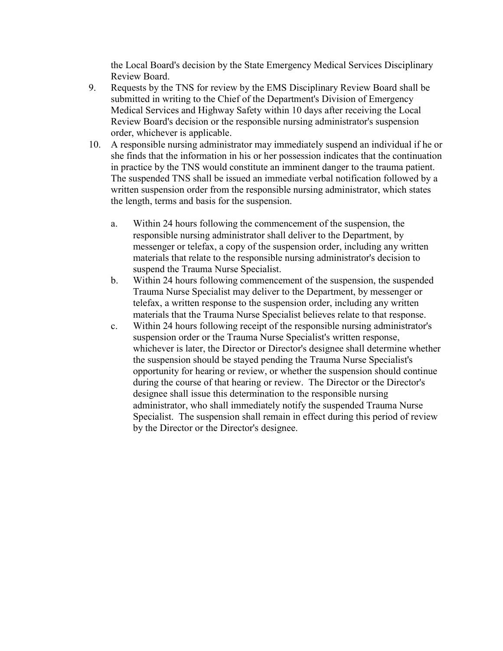the Local Board's decision by the State Emergency Medical Services Disciplinary Review Board.

- 9. Requests by the TNS for review by the EMS Disciplinary Review Board shall be submitted in writing to the Chief of the Department's Division of Emergency Medical Services and Highway Safety within 10 days after receiving the Local Review Board's decision or the responsible nursing administrator's suspension order, whichever is applicable.
- 10. A responsible nursing administrator may immediately suspend an individual if he or she finds that the information in his or her possession indicates that the continuation in practice by the TNS would constitute an imminent danger to the trauma patient. The suspended TNS shall be issued an immediate verbal notification followed by a written suspension order from the responsible nursing administrator, which states the length, terms and basis for the suspension.
	- a. Within 24 hours following the commencement of the suspension, the responsible nursing administrator shall deliver to the Department, by messenger or telefax, a copy of the suspension order, including any written materials that relate to the responsible nursing administrator's decision to suspend the Trauma Nurse Specialist.
	- b. Within 24 hours following commencement of the suspension, the suspended Trauma Nurse Specialist may deliver to the Department, by messenger or telefax, a written response to the suspension order, including any written materials that the Trauma Nurse Specialist believes relate to that response.
	- c. Within 24 hours following receipt of the responsible nursing administrator's suspension order or the Trauma Nurse Specialist's written response, whichever is later, the Director or Director's designee shall determine whether the suspension should be stayed pending the Trauma Nurse Specialist's opportunity for hearing or review, or whether the suspension should continue during the course of that hearing or review. The Director or the Director's designee shall issue this determination to the responsible nursing administrator, who shall immediately notify the suspended Trauma Nurse Specialist. The suspension shall remain in effect during this period of review by the Director or the Director's designee.